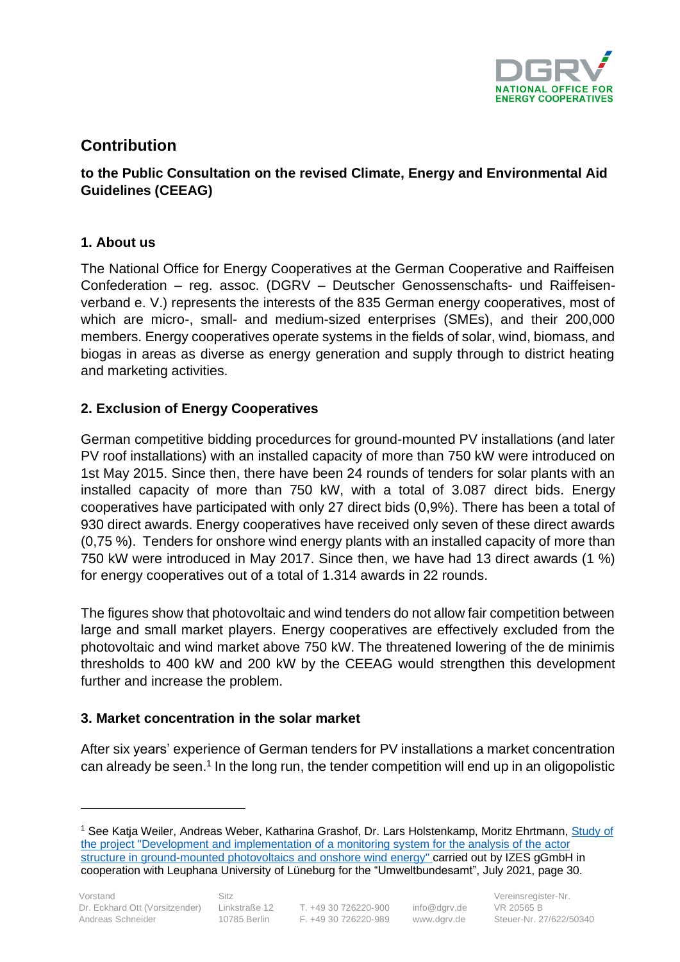

# **Contribution**

# **to the Public Consultation on the revised Climate, Energy and Environmental Aid Guidelines (CEEAG)**

## **1. About us**

The National Office for Energy Cooperatives at the German Cooperative and Raiffeisen Confederation – reg. assoc. (DGRV – Deutscher Genossenschafts- und Raiffeisenverband e. V.) represents the interests of the 835 German energy cooperatives, most of which are micro-, small- and medium-sized enterprises (SMEs), and their 200,000 members. Energy cooperatives operate systems in the fields of solar, wind, biomass, and biogas in areas as diverse as energy generation and supply through to district heating and marketing activities.

# **2. Exclusion of Energy Cooperatives**

German competitive bidding procedurces for ground-mounted PV installations (and later PV roof installations) with an installed capacity of more than 750 kW were introduced on 1st May 2015. Since then, there have been 24 rounds of tenders for solar plants with an installed capacity of more than 750 kW, with a total of 3.087 direct bids. Energy cooperatives have participated with only 27 direct bids (0,9%). There has been a total of 930 direct awards. Energy cooperatives have received only seven of these direct awards (0,75 %). Tenders for onshore wind energy plants with an installed capacity of more than 750 kW were introduced in May 2017. Since then, we have had 13 direct awards (1 %) for energy cooperatives out of a total of 1.314 awards in 22 rounds.

The figures show that photovoltaic and wind tenders do not allow fair competition between large and small market players. Energy cooperatives are effectively excluded from the photovoltaic and wind market above 750 kW. The threatened lowering of the de minimis thresholds to 400 kW and 200 kW by the CEEAG would strengthen this development further and increase the problem.

### **3. Market concentration in the solar market**

After six years' experience of German tenders for PV installations a market concentration can already be seen.<sup>1</sup> In the long run, the tender competition will end up in an oligopolistic

<sup>&</sup>lt;sup>1</sup> See Katja Weiler, Andreas Weber, Katharina Grashof, Dr. Lars Holstenkamp, Moritz Ehrtmann, Study of [the project "Development and implementation of a monitoring system for the analysis of the actor](https://www.umweltbundesamt.de/sites/default/files/medien/5750/publikationen/2021-06-28_cc_49-2021_monitoringsystem_akteursstruktur_wind_pv.pdf)  [structure in ground-mounted photovoltaics and onshore wind energy" c](https://www.umweltbundesamt.de/sites/default/files/medien/5750/publikationen/2021-06-28_cc_49-2021_monitoringsystem_akteursstruktur_wind_pv.pdf)arried out by IZES gGmbH in cooperation with Leuphana University of Lüneburg for the "Umweltbundesamt", July 2021, page 30.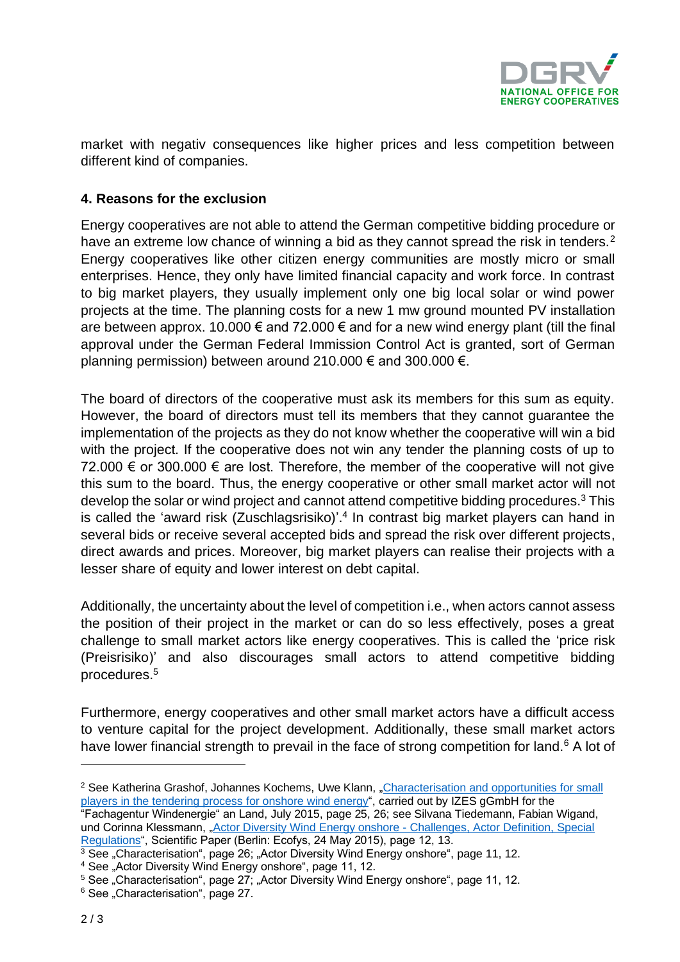

market with negativ consequences like higher prices and less competition between different kind of companies.

### **4. Reasons for the exclusion**

Energy cooperatives are not able to attend the German competitive bidding procedure or have an extreme low chance of winning a bid as they cannot spread the risk in tenders.<sup>2</sup> Energy cooperatives like other citizen energy communities are mostly micro or small enterprises. Hence, they only have limited financial capacity and work force. In contrast to big market players, they usually implement only one big local solar or wind power projects at the time. The planning costs for a new 1 mw ground mounted PV installation are between approx. 10.000  $\epsilon$  and 72.000  $\epsilon$  and for a new wind energy plant (till the final approval under the German Federal Immission Control Act is granted, sort of German planning permission) between around 210.000  $\epsilon$  and 300.000  $\epsilon$ .

The board of directors of the cooperative must ask its members for this sum as equity. However, the board of directors must tell its members that they cannot guarantee the implementation of the projects as they do not know whether the cooperative will win a bid with the project. If the cooperative does not win any tender the planning costs of up to 72.000 € or 300.000 € are lost. Therefore, the member of the cooperative will not give this sum to the board. Thus, the energy cooperative or other small market actor will not develop the solar or wind project and cannot attend competitive bidding procedures.<sup>3</sup> This is called the 'award risk (Zuschlagsrisiko)'. 4 In contrast big market players can hand in several bids or receive several accepted bids and spread the risk over different projects, direct awards and prices. Moreover, big market players can realise their projects with a lesser share of equity and lower interest on debt capital.

Additionally, the uncertainty about the level of competition i.e., when actors cannot assess the position of their project in the market or can do so less effectively, poses a great challenge to small market actors like energy cooperatives. This is called the 'price risk (Preisrisiko)' and also discourages small actors to attend competitive bidding procedures.<sup>5</sup>

Furthermore, energy cooperatives and other small market actors have a difficult access to venture capital for the project development. Additionally, these small market actors have lower financial strength to prevail in the face of strong competition for land.<sup>6</sup> A lot of

<sup>&</sup>lt;sup>2</sup> See Katherina Grashof, Johannes Kochems, Uwe Klann, "Characterisation and opportunities for small [players in the tendering process for onshore wind](https://www.fachagentur-windenergie.de/fileadmin/files/Veroeffentlichungen/FA-Wind_Studie_kleine_Akteure_in_Ausschreibungen_IZES_07-2015.pdf) energy", carried out by IZES gGmbH for the

<sup>&</sup>quot;Fachagentur Windenergie" an Land, July 2015, page 25, 26; see Silvana Tiedemann, Fabian Wigand, und Corinna Klessmann, ["Actor Diversity Wind Energy onshore -](https://www.erneuerbare-energien.de/EE/Redaktion/DE/Downloads/wissenschaftliches-papier-ecofys-akteuersvielfalt-windenergie-land.pdf?__blob=publicationFile&v=2) Challenges, Actor Definition, Special [Regulations"](https://www.erneuerbare-energien.de/EE/Redaktion/DE/Downloads/wissenschaftliches-papier-ecofys-akteuersvielfalt-windenergie-land.pdf?__blob=publicationFile&v=2), Scientific Paper (Berlin: Ecofys, 24 May 2015), page 12, 13.

 $3$  See "Characterisation", page 26; "Actor Diversity Wind Energy onshore", page 11, 12.

<sup>&</sup>lt;sup>4</sup> See "Actor Diversity Wind Energy onshore", page 11, 12.

 $5$  See "Characterisation", page 27; "Actor Diversity Wind Energy onshore", page 11, 12.

<sup>&</sup>lt;sup>6</sup> See "Characterisation", page 27.